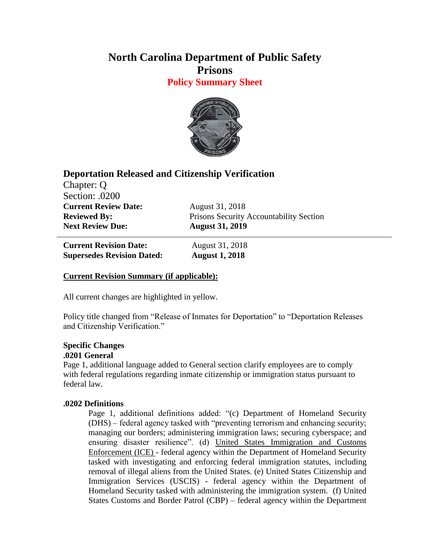# **North Carolina Department of Public Safety Prisons**

**Policy Summary Sheet**



## **Deportation Released and Citizenship Verification**

Chapter: Q Section: .0200 **Current Review Date:** August 31, 2018 **Next Review Due: August 31, 2019**

**Reviewed By:** Prisons Security Accountability Section

**Current Revision Date:** August 31, 2018 **Supersedes Revision Dated: August 1, 2018**

## **Current Revision Summary (if applicable):**

All current changes are highlighted in yellow.

Policy title changed from "Release of Inmates for Deportation" to "Deportation Releases and Citizenship Verification."

### **Specific Changes .0201 General**

Page 1, additional language added to General section clarify employees are to comply with federal regulations regarding inmate citizenship or immigration status pursuant to federal law.

## **.0202 Definitions**

Page 1, additional definitions added: "(c) Department of Homeland Security (DHS) – federal agency tasked with "preventing terrorism and enhancing security; managing our borders; administering immigration laws; securing cyberspace; and ensuring disaster resilience". (d) United States Immigration and Customs Enforcement (ICE) - federal agency within the Department of Homeland Security tasked with investigating and enforcing federal immigration statutes, including removal of illegal aliens from the United States. (e) United States Citizenship and Immigration Services (USCIS) - federal agency within the Department of Homeland Security tasked with administering the immigration system. (f) United States Customs and Border Patrol (CBP) – federal agency within the Department